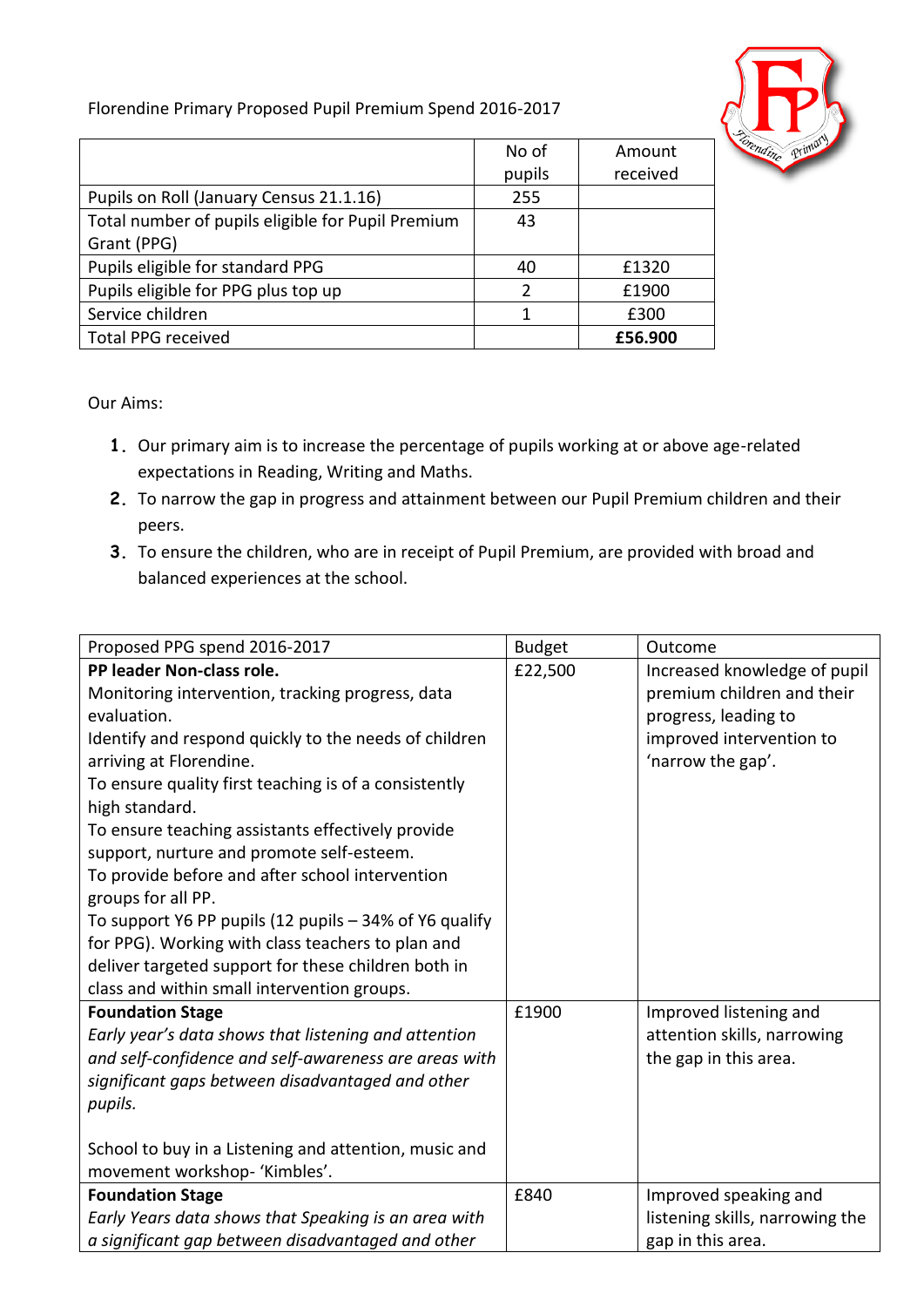## Florendine Primary Proposed Pupil Premium Spend 2016-2017



|                                                   | No of         | Amount   |
|---------------------------------------------------|---------------|----------|
|                                                   | pupils        | received |
| Pupils on Roll (January Census 21.1.16)           | 255           |          |
| Total number of pupils eligible for Pupil Premium | 43            |          |
| Grant (PPG)                                       |               |          |
| Pupils eligible for standard PPG                  | 40            | £1320    |
| Pupils eligible for PPG plus top up               | $\mathcal{P}$ | £1900    |
| Service children                                  | 1             | £300     |
| <b>Total PPG received</b>                         |               | £56.900  |

Our Aims:

- **1.** Our primary aim is to increase the percentage of pupils working at or above age-related expectations in Reading, Writing and Maths.
- **2.** To narrow the gap in progress and attainment between our Pupil Premium children and their peers.
- **3.** To ensure the children, who are in receipt of Pupil Premium, are provided with broad and balanced experiences at the school.

| Proposed PPG spend 2016-2017                           | <b>Budget</b> | Outcome                         |
|--------------------------------------------------------|---------------|---------------------------------|
| PP leader Non-class role.                              | £22,500       | Increased knowledge of pupil    |
| Monitoring intervention, tracking progress, data       |               | premium children and their      |
| evaluation.                                            |               | progress, leading to            |
| Identify and respond quickly to the needs of children  |               | improved intervention to        |
| arriving at Florendine.                                |               | 'narrow the gap'.               |
| To ensure quality first teaching is of a consistently  |               |                                 |
| high standard.                                         |               |                                 |
| To ensure teaching assistants effectively provide      |               |                                 |
| support, nurture and promote self-esteem.              |               |                                 |
| To provide before and after school intervention        |               |                                 |
| groups for all PP.                                     |               |                                 |
| To support Y6 PP pupils (12 pupils - 34% of Y6 qualify |               |                                 |
| for PPG). Working with class teachers to plan and      |               |                                 |
| deliver targeted support for these children both in    |               |                                 |
| class and within small intervention groups.            |               |                                 |
| <b>Foundation Stage</b>                                | £1900         | Improved listening and          |
| Early year's data shows that listening and attention   |               | attention skills, narrowing     |
| and self-confidence and self-awareness are areas with  |               | the gap in this area.           |
| significant gaps between disadvantaged and other       |               |                                 |
| pupils.                                                |               |                                 |
|                                                        |               |                                 |
| School to buy in a Listening and attention, music and  |               |                                 |
| movement workshop- 'Kimbles'.                          |               |                                 |
| <b>Foundation Stage</b>                                | £840          | Improved speaking and           |
| Early Years data shows that Speaking is an area with   |               | listening skills, narrowing the |
| a significant gap between disadvantaged and other      |               | gap in this area.               |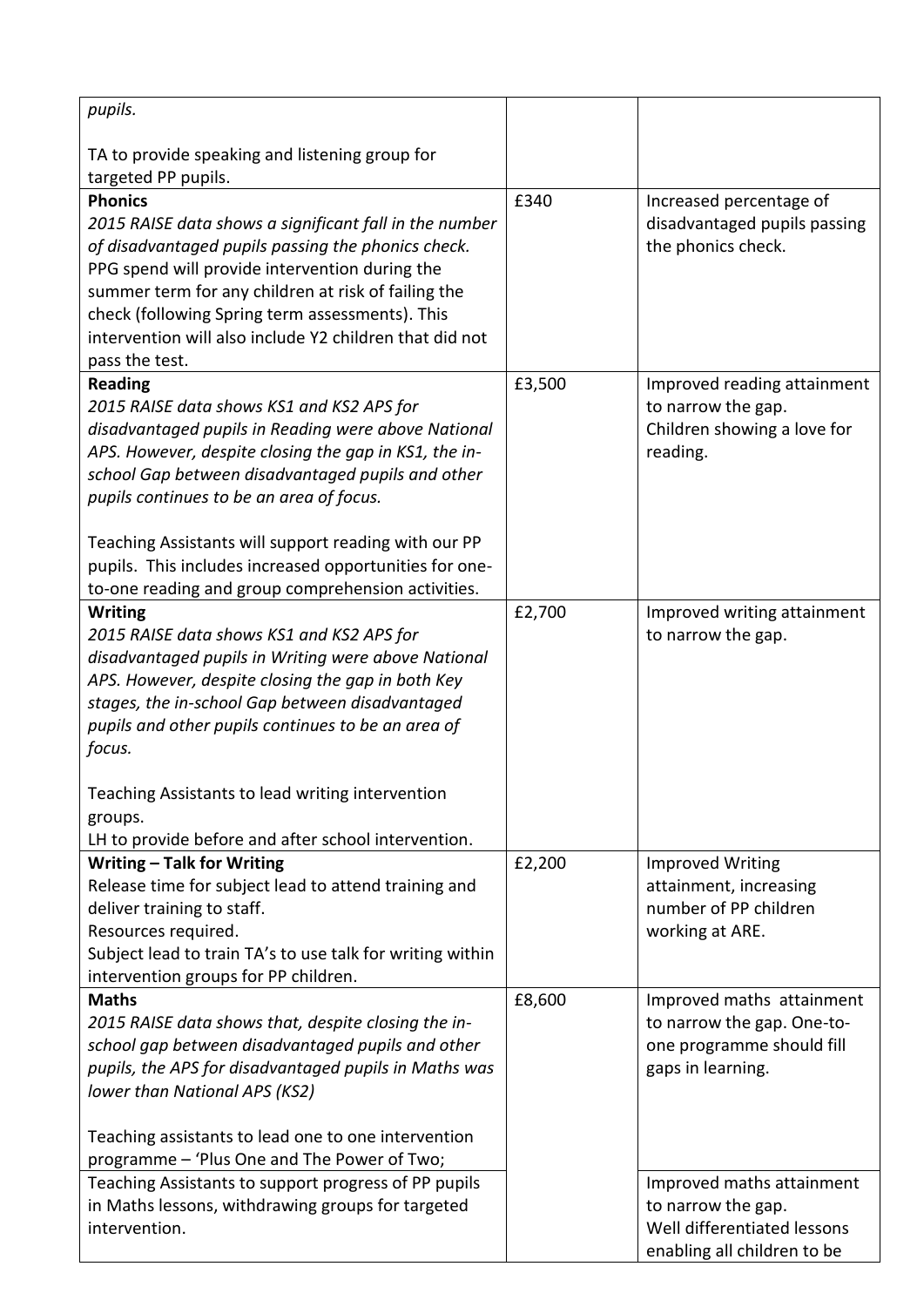| pupils.                                                                                                                                                                                                                                                                                                                                                                                                                                              |        |                                                                                                               |
|------------------------------------------------------------------------------------------------------------------------------------------------------------------------------------------------------------------------------------------------------------------------------------------------------------------------------------------------------------------------------------------------------------------------------------------------------|--------|---------------------------------------------------------------------------------------------------------------|
| TA to provide speaking and listening group for<br>targeted PP pupils.                                                                                                                                                                                                                                                                                                                                                                                |        |                                                                                                               |
| <b>Phonics</b><br>2015 RAISE data shows a significant fall in the number<br>of disadvantaged pupils passing the phonics check.<br>PPG spend will provide intervention during the<br>summer term for any children at risk of failing the<br>check (following Spring term assessments). This<br>intervention will also include Y2 children that did not<br>pass the test.                                                                              | £340   | Increased percentage of<br>disadvantaged pupils passing<br>the phonics check.                                 |
| <b>Reading</b><br>2015 RAISE data shows KS1 and KS2 APS for<br>disadvantaged pupils in Reading were above National<br>APS. However, despite closing the gap in KS1, the in-<br>school Gap between disadvantaged pupils and other<br>pupils continues to be an area of focus.<br>Teaching Assistants will support reading with our PP<br>pupils. This includes increased opportunities for one-<br>to-one reading and group comprehension activities. | £3,500 | Improved reading attainment<br>to narrow the gap.<br>Children showing a love for<br>reading.                  |
| <b>Writing</b><br>2015 RAISE data shows KS1 and KS2 APS for<br>disadvantaged pupils in Writing were above National<br>APS. However, despite closing the gap in both Key<br>stages, the in-school Gap between disadvantaged<br>pupils and other pupils continues to be an area of<br>focus.<br>Teaching Assistants to lead writing intervention<br>groups.<br>LH to provide before and after school intervention.                                     | £2,700 | Improved writing attainment<br>to narrow the gap.                                                             |
| Writing - Talk for Writing<br>Release time for subject lead to attend training and<br>deliver training to staff.<br>Resources required.<br>Subject lead to train TA's to use talk for writing within<br>intervention groups for PP children.                                                                                                                                                                                                         | £2,200 | <b>Improved Writing</b><br>attainment, increasing<br>number of PP children<br>working at ARE.                 |
| <b>Maths</b><br>2015 RAISE data shows that, despite closing the in-<br>school gap between disadvantaged pupils and other<br>pupils, the APS for disadvantaged pupils in Maths was<br>lower than National APS (KS2)<br>Teaching assistants to lead one to one intervention<br>programme - 'Plus One and The Power of Two;                                                                                                                             | £8,600 | Improved maths attainment<br>to narrow the gap. One-to-<br>one programme should fill<br>gaps in learning.     |
| Teaching Assistants to support progress of PP pupils<br>in Maths lessons, withdrawing groups for targeted<br>intervention.                                                                                                                                                                                                                                                                                                                           |        | Improved maths attainment<br>to narrow the gap.<br>Well differentiated lessons<br>enabling all children to be |